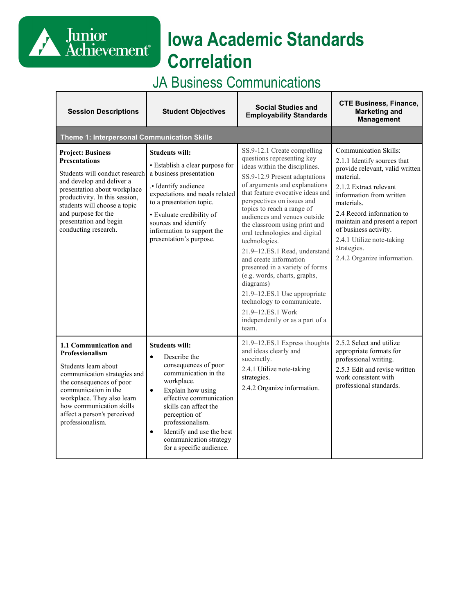# **Iowa Academic Standards Correlation**

# JA Business Communications

Junior<br>Achievement<sup>®</sup>

| <b>Session Descriptions</b>                                                                                                                                                                                                                                                                | <b>Student Objectives</b>                                                                                                                                                                                                                                                                                                                   | <b>Social Studies and</b><br><b>Employability Standards</b>                                                                                                                                                                                                                                                                                                                                                                                                                                                                                                                                                                                               | <b>CTE Business, Finance,</b><br><b>Marketing and</b><br><b>Management</b>                                                                                                                                                                                                                                                                        |
|--------------------------------------------------------------------------------------------------------------------------------------------------------------------------------------------------------------------------------------------------------------------------------------------|---------------------------------------------------------------------------------------------------------------------------------------------------------------------------------------------------------------------------------------------------------------------------------------------------------------------------------------------|-----------------------------------------------------------------------------------------------------------------------------------------------------------------------------------------------------------------------------------------------------------------------------------------------------------------------------------------------------------------------------------------------------------------------------------------------------------------------------------------------------------------------------------------------------------------------------------------------------------------------------------------------------------|---------------------------------------------------------------------------------------------------------------------------------------------------------------------------------------------------------------------------------------------------------------------------------------------------------------------------------------------------|
| Theme 1: Interpersonal Communication Skills                                                                                                                                                                                                                                                |                                                                                                                                                                                                                                                                                                                                             |                                                                                                                                                                                                                                                                                                                                                                                                                                                                                                                                                                                                                                                           |                                                                                                                                                                                                                                                                                                                                                   |
| <b>Project: Business</b><br><b>Presentations</b><br>Students will conduct research<br>and develop and deliver a<br>presentation about workplace<br>productivity. In this session,<br>students will choose a topic<br>and purpose for the<br>presentation and begin<br>conducting research. | <b>Students will:</b><br>• Establish a clear purpose for<br>a business presentation<br>.• Identify audience<br>expectations and needs related<br>to a presentation topic.<br>· Evaluate credibility of<br>sources and identify<br>information to support the<br>presentation's purpose.                                                     | SS.9-12.1 Create compelling<br>questions representing key<br>ideas within the disciplines.<br>SS.9-12.9 Present adaptations<br>of arguments and explanations<br>that feature evocative ideas and<br>perspectives on issues and<br>topics to reach a range of<br>audiences and venues outside<br>the classroom using print and<br>oral technologies and digital<br>technologies.<br>21.9-12.ES.1 Read, understand<br>and create information<br>presented in a variety of forms<br>(e.g. words, charts, graphs,<br>diagrams)<br>21.9-12.ES.1 Use appropriate<br>technology to communicate.<br>21.9-12.ES.1 Work<br>independently or as a part of a<br>team. | <b>Communication Skills:</b><br>2.1.1 Identify sources that<br>provide relevant, valid written<br>material.<br>2.1.2 Extract relevant<br>information from written<br>materials.<br>2.4 Record information to<br>maintain and present a report<br>of business activity.<br>2.4.1 Utilize note-taking<br>strategies.<br>2.4.2 Organize information. |
| 1.1 Communication and<br>Professionalism<br>Students learn about<br>communication strategies and<br>the consequences of poor<br>communication in the<br>workplace. They also learn<br>how communication skills<br>affect a person's perceived<br>professionalism.                          | <b>Students will:</b><br>$\bullet$<br>Describe the<br>consequences of poor<br>communication in the<br>workplace.<br>$\bullet$<br>Explain how using<br>effective communication<br>skills can affect the<br>perception of<br>professionalism.<br>Identify and use the best<br>$\bullet$<br>communication strategy<br>for a specific audience. | 21.9-12.ES.1 Express thoughts<br>and ideas clearly and<br>succinctly.<br>2.4.1 Utilize note-taking<br>strategies.<br>2.4.2 Organize information.                                                                                                                                                                                                                                                                                                                                                                                                                                                                                                          | 2.5.2 Select and utilize<br>appropriate formats for<br>professional writing.<br>2.5.3 Edit and revise written<br>work consistent with<br>professional standards.                                                                                                                                                                                  |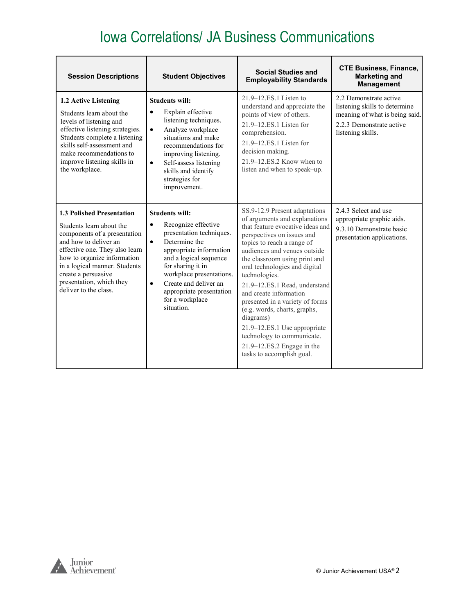| <b>Session Descriptions</b>                                                                                                                                                                                                                                                                         | <b>Student Objectives</b>                                                                                                                                                                                                                                                                                                    | <b>Social Studies and</b><br><b>Employability Standards</b>                                                                                                                                                                                                                                                                                                                                                                                                                                                                                           | <b>CTE Business, Finance,</b><br><b>Marketing and</b><br><b>Management</b>                                                                 |
|-----------------------------------------------------------------------------------------------------------------------------------------------------------------------------------------------------------------------------------------------------------------------------------------------------|------------------------------------------------------------------------------------------------------------------------------------------------------------------------------------------------------------------------------------------------------------------------------------------------------------------------------|-------------------------------------------------------------------------------------------------------------------------------------------------------------------------------------------------------------------------------------------------------------------------------------------------------------------------------------------------------------------------------------------------------------------------------------------------------------------------------------------------------------------------------------------------------|--------------------------------------------------------------------------------------------------------------------------------------------|
| 1.2 Active Listening<br>Students learn about the<br>levels of listening and<br>effective listening strategies.<br>Students complete a listening<br>skills self-assessment and<br>make recommendations to<br>improve listening skills in<br>the workplace.                                           | <b>Students will:</b><br>Explain effective<br>$\bullet$<br>listening techniques.<br>Analyze workplace<br>$\bullet$<br>situations and make<br>recommendations for<br>improving listening.<br>Self-assess listening<br>$\bullet$<br>skills and identify<br>strategies for<br>improvement.                                      | $21.9 - 12.ES.1$ Listen to<br>understand and appreciate the<br>points of view of others.<br>21.9–12.ES.1 Listen for<br>comprehension.<br>21.9–12.ES.1 Listen for<br>decision making.<br>21.9-12.ES.2 Know when to<br>listen and when to speak-up.                                                                                                                                                                                                                                                                                                     | 2.2 Demonstrate active<br>listening skills to determine<br>meaning of what is being said.<br>2.2.3 Demonstrate active<br>listening skills. |
| <b>1.3 Polished Presentation</b><br>Students learn about the<br>components of a presentation<br>and how to deliver an<br>effective one. They also learn<br>how to organize information<br>in a logical manner. Students<br>create a persuasive<br>presentation, which they<br>deliver to the class. | <b>Students will:</b><br>Recognize effective<br>$\bullet$<br>presentation techniques.<br>Determine the<br>$\bullet$<br>appropriate information<br>and a logical sequence<br>for sharing it in<br>workplace presentations.<br>Create and deliver an<br>$\bullet$<br>appropriate presentation<br>for a workplace<br>situation. | SS.9-12.9 Present adaptations<br>of arguments and explanations<br>that feature evocative ideas and<br>perspectives on issues and<br>topics to reach a range of<br>audiences and venues outside<br>the classroom using print and<br>oral technologies and digital<br>technologies.<br>21.9-12.ES.1 Read, understand<br>and create information<br>presented in a variety of forms<br>(e.g. words, charts, graphs,<br>diagrams)<br>21.9–12.ES.1 Use appropriate<br>technology to communicate.<br>21.9-12.ES.2 Engage in the<br>tasks to accomplish goal. | 2.4.3 Select and use<br>appropriate graphic aids.<br>9.3.10 Demonstrate basic<br>presentation applications.                                |

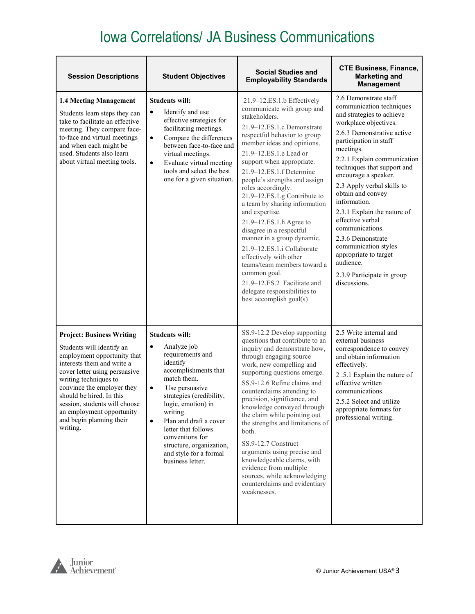| <b>Session Descriptions</b>                                                                                                                                                                                                                                                                                                                          | <b>Student Objectives</b>                                                                                                                                                                                                                                                                                                                                                        | <b>Social Studies and</b><br><b>Employability Standards</b>                                                                                                                                                                                                                                                                                                                                                                                                                                                                                                                                                                                                                              | <b>CTE Business, Finance,</b><br><b>Marketing and</b><br><b>Management</b>                                                                                                                                                                                                                                                                                                                                                                                                                                                                   |
|------------------------------------------------------------------------------------------------------------------------------------------------------------------------------------------------------------------------------------------------------------------------------------------------------------------------------------------------------|----------------------------------------------------------------------------------------------------------------------------------------------------------------------------------------------------------------------------------------------------------------------------------------------------------------------------------------------------------------------------------|------------------------------------------------------------------------------------------------------------------------------------------------------------------------------------------------------------------------------------------------------------------------------------------------------------------------------------------------------------------------------------------------------------------------------------------------------------------------------------------------------------------------------------------------------------------------------------------------------------------------------------------------------------------------------------------|----------------------------------------------------------------------------------------------------------------------------------------------------------------------------------------------------------------------------------------------------------------------------------------------------------------------------------------------------------------------------------------------------------------------------------------------------------------------------------------------------------------------------------------------|
| 1.4 Meeting Management<br>Students learn steps they can<br>take to facilitate an effective<br>meeting. They compare face-<br>to-face and virtual meetings<br>and when each might be<br>used. Students also learn<br>about virtual meeting tools.                                                                                                     | <b>Students will:</b><br>Identify and use<br>$\bullet$<br>effective strategies for<br>facilitating meetings.<br>$\bullet$<br>Compare the differences<br>between face-to-face and<br>virtual meetings.<br>Evaluate virtual meeting<br>$\bullet$<br>tools and select the best<br>one for a given situation.                                                                        | 21.9-12.ES.1.b Effectively<br>communicate with group and<br>stakeholders.<br>21.9-12.ES.1.c Demonstrate<br>respectful behavior to group<br>member ideas and opinions.<br>21.9-12.ES.1.e Lead or<br>support when appropriate.<br>21.9-12.ES.1.f Determine<br>people's strengths and assign<br>roles accordingly.<br>21.9-12.ES.1.g Contribute to<br>a team by sharing information<br>and expertise.<br>21.9-12.ES.1.h Agree to<br>disagree in a respectful<br>manner in a group dynamic.<br>21.9-12.ES.1.i Collaborate<br>effectively with other<br>teams/team members toward a<br>common goal.<br>21.9-12.ES.2 Facilitate and<br>delegate responsibilities to<br>best accomplish goal(s) | 2.6 Demonstrate staff<br>communication techniques<br>and strategies to achieve<br>workplace objectives.<br>2.6.3 Demonstrative active<br>participation in staff<br>meetings.<br>2.2.1 Explain communication<br>techniques that support and<br>encourage a speaker.<br>2.3 Apply verbal skills to<br>obtain and convey<br>information.<br>2.3.1 Explain the nature of<br>effective verbal<br>communications.<br>2.3.6 Demonstrate<br>communication styles<br>appropriate to target<br>audience.<br>2.3.9 Participate in group<br>discussions. |
| <b>Project: Business Writing</b><br>Students will identify an<br>employment opportunity that<br>interests them and write a<br>cover letter using persuasive<br>writing techniques to<br>convince the employer they<br>should be hired. In this<br>session, students will choose<br>an employment opportunity<br>and begin planning their<br>writing. | <b>Students will:</b><br>$\bullet$<br>Analyze job<br>requirements and<br>identify<br>accomplishments that<br>match them.<br>Use persuasive<br>$\bullet$<br>strategies (credibility,<br>logic, emotion) in<br>writing.<br>$\bullet$<br>Plan and draft a cover<br>letter that follows<br>conventions for<br>structure, organization,<br>and style for a formal<br>business letter. | SS.9-12.2 Develop supporting<br>questions that contribute to an<br>inquiry and demonstrate how,<br>through engaging source<br>work, new compelling and<br>supporting questions emerge.<br>SS.9-12.6 Refine claims and<br>counterclaims attending to<br>precision, significance, and<br>knowledge conveyed through<br>the claim while pointing out<br>the strengths and limitations of<br>both.<br>SS.9-12.7 Construct<br>arguments using precise and<br>knowledgeable claims, with<br>evidence from multiple<br>sources, while acknowledging<br>counterclaims and evidentiary<br>weaknesses.                                                                                             | 2.5 Write internal and<br>external business<br>correspondence to convey<br>and obtain information<br>effectively.<br>2.5.1 Explain the nature of<br>effective written<br>communications.<br>2.5.2 Select and utilize<br>appropriate formats for<br>professional writing.                                                                                                                                                                                                                                                                     |

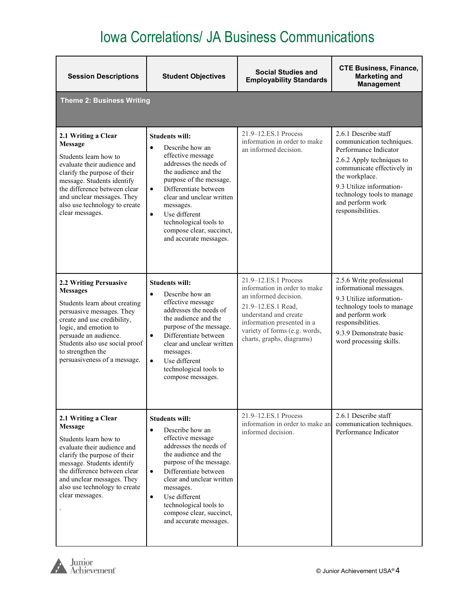| <b>Session Descriptions</b>                                                                                                                                                                                                                                                     | <b>Student Objectives</b>                                                                                                                                                                                                                                                                                                                             | <b>Social Studies and</b><br><b>Employability Standards</b>                                                                                                                                                              | <b>CTE Business, Finance,</b><br><b>Marketing and</b><br><b>Management</b>                                                                                                                                                                                 |
|---------------------------------------------------------------------------------------------------------------------------------------------------------------------------------------------------------------------------------------------------------------------------------|-------------------------------------------------------------------------------------------------------------------------------------------------------------------------------------------------------------------------------------------------------------------------------------------------------------------------------------------------------|--------------------------------------------------------------------------------------------------------------------------------------------------------------------------------------------------------------------------|------------------------------------------------------------------------------------------------------------------------------------------------------------------------------------------------------------------------------------------------------------|
| <b>Theme 2: Business Writing</b>                                                                                                                                                                                                                                                |                                                                                                                                                                                                                                                                                                                                                       |                                                                                                                                                                                                                          |                                                                                                                                                                                                                                                            |
| 2.1 Writing a Clear<br><b>Message</b><br>Students learn how to<br>evaluate their audience and<br>clarify the purpose of their<br>message. Students identify<br>the difference between clear<br>and unclear messages. They<br>also use technology to create<br>clear messages.   | <b>Students will:</b><br>Describe how an<br>$\bullet$<br>effective message<br>addresses the needs of<br>the audience and the<br>purpose of the message.<br>Differentiate between<br>$\bullet$<br>clear and unclear written<br>messages.<br>Use different<br>$\bullet$<br>technological tools to<br>compose clear, succinct,<br>and accurate messages. | 21.9-12.ES.1 Process<br>information in order to make<br>an informed decision.                                                                                                                                            | 2.6.1 Describe staff<br>communication techniques.<br>Performance Indicator<br>2.6.2 Apply techniques to<br>communicate effectively in<br>the workplace.<br>9.3 Utilize information-<br>technology tools to manage<br>and perform work<br>responsibilities. |
| 2.2 Writing Persuasive<br><b>Messages</b><br>Students learn about creating<br>persuasive messages. They<br>create and use credibility,<br>logic, and emotion to<br>persuade an audience.<br>Students also use social proof<br>to strengthen the<br>persuasiveness of a message. | <b>Students will:</b><br>Describe how an<br>$\bullet$<br>effective message<br>addresses the needs of<br>the audience and the<br>purpose of the message.<br>Differentiate between<br>$\bullet$<br>clear and unclear written<br>messages.<br>Use different<br>$\bullet$<br>technological tools to<br>compose messages.                                  | 21.9-12.ES.1 Process<br>information in order to make<br>an informed decision.<br>21.9-12.ES.1 Read,<br>understand and create<br>information presented in a<br>variety of forms (e.g. words,<br>charts, graphs, diagrams) | 2.5.6 Write professional<br>informational messages.<br>9.3 Utilize information-<br>technology tools to manage<br>and perform work<br>responsibilities.<br>9.3.9 Demonstrate basic<br>word processing skills.                                               |
| 2.1 Writing a Clear<br>Message<br>Students learn how to<br>evaluate their audience and<br>clarify the purpose of their<br>message. Students identify<br>the difference between clear<br>and unclear messages. They<br>also use technology to create<br>clear messages.          | <b>Students will:</b><br>Describe how an<br>$\bullet$<br>effective message<br>addresses the needs of<br>the audience and the<br>purpose of the message.<br>Differentiate between<br>$\bullet$<br>clear and unclear written<br>messages.<br>Use different<br>$\bullet$<br>technological tools to<br>compose clear, succinct,<br>and accurate messages. | 21.9-12.ES.1 Process<br>information in order to make an<br>informed decision.                                                                                                                                            | 2.6.1 Describe staff<br>communication techniques.<br>Performance Indicator                                                                                                                                                                                 |

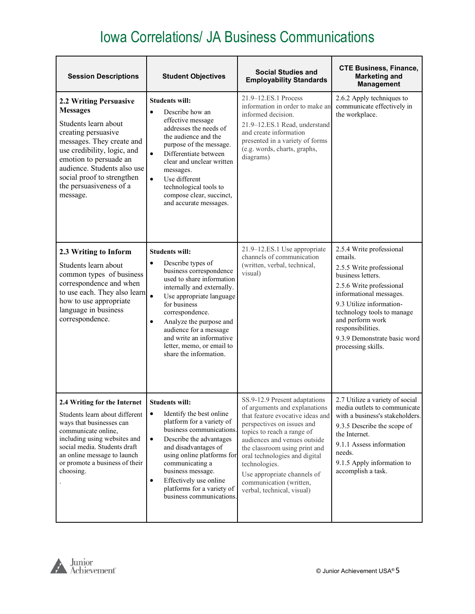| <b>Session Descriptions</b>                                                                                                                                                                                                                                                        | <b>Student Objectives</b>                                                                                                                                                                                                                                                                                                                                                      | <b>Social Studies and</b><br><b>Employability Standards</b>                                                                                                                                                                                                                                                                                                               | <b>CTE Business, Finance,</b><br><b>Marketing and</b><br><b>Management</b>                                                                                                                                                                                                                           |
|------------------------------------------------------------------------------------------------------------------------------------------------------------------------------------------------------------------------------------------------------------------------------------|--------------------------------------------------------------------------------------------------------------------------------------------------------------------------------------------------------------------------------------------------------------------------------------------------------------------------------------------------------------------------------|---------------------------------------------------------------------------------------------------------------------------------------------------------------------------------------------------------------------------------------------------------------------------------------------------------------------------------------------------------------------------|------------------------------------------------------------------------------------------------------------------------------------------------------------------------------------------------------------------------------------------------------------------------------------------------------|
| 2.2 Writing Persuasive<br><b>Messages</b><br>Students learn about<br>creating persuasive<br>messages. They create and<br>use credibility, logic, and<br>emotion to persuade an<br>audience. Students also use<br>social proof to strengthen<br>the persuasiveness of a<br>message. | <b>Students will:</b><br>Describe how an<br>$\bullet$<br>effective message<br>addresses the needs of<br>the audience and the<br>purpose of the message.<br>Differentiate between<br>$\bullet$<br>clear and unclear written<br>messages.<br>$\bullet$<br>Use different<br>technological tools to<br>compose clear, succinct,<br>and accurate messages.                          | 21.9–12.ES.1 Process<br>information in order to make an<br>informed decision.<br>21.9-12.ES.1 Read, understand<br>and create information<br>presented in a variety of forms<br>(e.g. words, charts, graphs,<br>diagrams)                                                                                                                                                  | 2.6.2 Apply techniques to<br>communicate effectively in<br>the workplace.                                                                                                                                                                                                                            |
| 2.3 Writing to Inform<br>Students learn about<br>common types of business<br>correspondence and when<br>to use each. They also learn<br>how to use appropriate<br>language in business<br>correspondence.                                                                          | <b>Students will:</b><br>Describe types of<br>$\bullet$<br>business correspondence<br>used to share information<br>internally and externally.<br>$\bullet$<br>Use appropriate language<br>for business<br>correspondence.<br>Analyze the purpose and<br>$\bullet$<br>audience for a message<br>and write an informative<br>letter, memo, or email to<br>share the information. | 21.9-12.ES.1 Use appropriate<br>channels of communication<br>(written, verbal, technical,<br>visual)                                                                                                                                                                                                                                                                      | 2.5.4 Write professional<br>emails.<br>2.5.5 Write professional<br>business letters.<br>2.5.6 Write professional<br>informational messages.<br>9.3 Utilize information-<br>technology tools to manage<br>and perform work<br>responsibilities.<br>9.3.9 Demonstrate basic word<br>processing skills. |
| 2.4 Writing for the Internet   Students will:<br>Students learn about different<br>ways that businesses can<br>communicate online,<br>including using websites and<br>social media. Students draft<br>an online message to launch<br>or promote a business of their<br>choosing.   | Identify the best online<br>$\bullet$<br>platform for a variety of<br>business communications.<br>$\bullet$<br>Describe the advantages<br>and disadvantages of<br>using online platforms for<br>communicating a<br>business message.<br>Effectively use online<br>$\bullet$<br>platforms for a variety of<br>business communications.                                          | SS.9-12.9 Present adaptations<br>of arguments and explanations<br>that feature evocative ideas and<br>perspectives on issues and<br>topics to reach a range of<br>audiences and venues outside<br>the classroom using print and<br>oral technologies and digital<br>technologies.<br>Use appropriate channels of<br>communication (written,<br>verbal, technical, visual) | 2.7 Utilize a variety of social<br>media outlets to communicate<br>with a business's stakeholders.<br>9.3.5 Describe the scope of<br>the Internet.<br>9.1.1 Assess information<br>needs.<br>9.1.5 Apply information to<br>accomplish a task.                                                         |

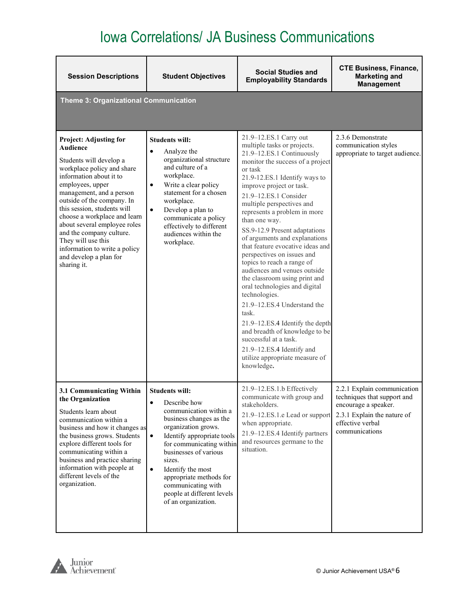| <b>Session Descriptions</b>                                                                                                                                                                                                                                                                                                                                                                                                            | <b>Student Objectives</b>                                                                                                                                                                                                                                                                                                                                           | <b>Social Studies and</b><br><b>Employability Standards</b>                                                                                                                                                                                                                                                                                                                                                                                                                                                                                                                                                                                                                                                                                                                                                   | <b>CTE Business, Finance,</b><br><b>Marketing and</b><br><b>Management</b>                                                                              |
|----------------------------------------------------------------------------------------------------------------------------------------------------------------------------------------------------------------------------------------------------------------------------------------------------------------------------------------------------------------------------------------------------------------------------------------|---------------------------------------------------------------------------------------------------------------------------------------------------------------------------------------------------------------------------------------------------------------------------------------------------------------------------------------------------------------------|---------------------------------------------------------------------------------------------------------------------------------------------------------------------------------------------------------------------------------------------------------------------------------------------------------------------------------------------------------------------------------------------------------------------------------------------------------------------------------------------------------------------------------------------------------------------------------------------------------------------------------------------------------------------------------------------------------------------------------------------------------------------------------------------------------------|---------------------------------------------------------------------------------------------------------------------------------------------------------|
| Theme 3: Organizational Communication                                                                                                                                                                                                                                                                                                                                                                                                  |                                                                                                                                                                                                                                                                                                                                                                     |                                                                                                                                                                                                                                                                                                                                                                                                                                                                                                                                                                                                                                                                                                                                                                                                               |                                                                                                                                                         |
| <b>Project: Adjusting for</b><br>Audience<br>Students will develop a<br>workplace policy and share<br>information about it to<br>employees, upper<br>management, and a person<br>outside of the company. In<br>this session, students will<br>choose a workplace and learn<br>about several employee roles<br>and the company culture.<br>They will use this<br>information to write a policy<br>and develop a plan for<br>sharing it. | <b>Students will:</b><br>$\bullet$<br>Analyze the<br>organizational structure<br>and culture of a<br>workplace.<br>Write a clear policy<br>$\bullet$<br>statement for a chosen<br>workplace.<br>$\bullet$<br>Develop a plan to<br>communicate a policy<br>effectively to different<br>audiences within the<br>workplace.                                            | 21.9-12.ES.1 Carry out<br>multiple tasks or projects.<br>21.9-12.ES.1 Continuously<br>monitor the success of a project<br>or task<br>21.9-12.ES.1 Identify ways to<br>improve project or task.<br>21.9-12.ES.1 Consider<br>multiple perspectives and<br>represents a problem in more<br>than one way.<br>SS.9-12.9 Present adaptations<br>of arguments and explanations<br>that feature evocative ideas and<br>perspectives on issues and<br>topics to reach a range of<br>audiences and venues outside<br>the classroom using print and<br>oral technologies and digital<br>technologies.<br>21.9-12.ES.4 Understand the<br>task.<br>21.9-12.ES.4 Identify the depth<br>and breadth of knowledge to be<br>successful at a task.<br>21.9-12.ES.4 Identify and<br>utilize appropriate measure of<br>knowledge. | 2.3.6 Demonstrate<br>communication styles<br>appropriate to target audience.                                                                            |
| 3.1 Communicating Within<br>the Organization<br>Students learn about<br>communication within a<br>business and how it changes as<br>the business grows. Students<br>explore different tools for<br>communicating within a<br>business and practice sharing<br>information with people at<br>different levels of the<br>organization.                                                                                                   | <b>Students will:</b><br>Describe how<br>communication within a<br>business changes as the<br>organization grows.<br>Identify appropriate tools<br>$\bullet$<br>for communicating within<br>businesses of various<br>sizes.<br>Identify the most<br>$\bullet$<br>appropriate methods for<br>communicating with<br>people at different levels<br>of an organization. | 21.9-12.ES.1.b Effectively<br>communicate with group and<br>stakeholders.<br>21.9-12.ES.1.e Lead or support<br>when appropriate.<br>21.9-12.ES.4 Identify partners<br>and resources germane to the<br>situation.                                                                                                                                                                                                                                                                                                                                                                                                                                                                                                                                                                                              | 2.2.1 Explain communication<br>techniques that support and<br>encourage a speaker.<br>2.3.1 Explain the nature of<br>effective verbal<br>communications |

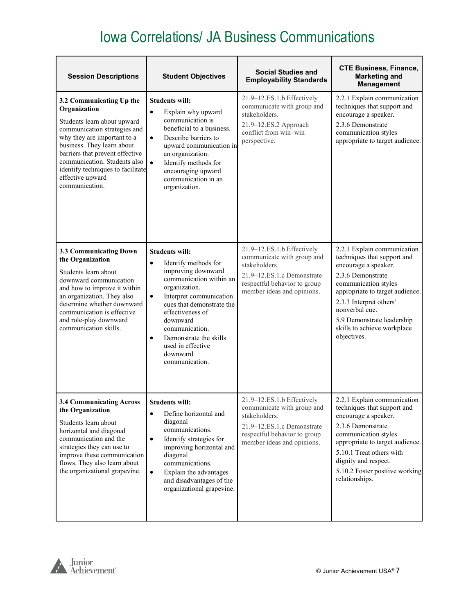| <b>Session Descriptions</b>                                                                                                                                                                                                                                                                                        | <b>Student Objectives</b>                                                                                                                                                                                                                                                                                                                     | <b>Social Studies and</b><br><b>Employability Standards</b>                                                                                                           | <b>CTE Business, Finance,</b><br><b>Marketing and</b><br><b>Management</b>                                                                                                                                                                                                                  |
|--------------------------------------------------------------------------------------------------------------------------------------------------------------------------------------------------------------------------------------------------------------------------------------------------------------------|-----------------------------------------------------------------------------------------------------------------------------------------------------------------------------------------------------------------------------------------------------------------------------------------------------------------------------------------------|-----------------------------------------------------------------------------------------------------------------------------------------------------------------------|---------------------------------------------------------------------------------------------------------------------------------------------------------------------------------------------------------------------------------------------------------------------------------------------|
| 3.2 Communicating Up the<br>Organization<br>Students learn about upward<br>communication strategies and<br>why they are important to a<br>business. They learn about<br>barriers that prevent effective<br>communication. Students also<br>identify techniques to facilitate<br>effective upward<br>communication. | <b>Students will:</b><br>Explain why upward<br>$\bullet$<br>communication is<br>beneficial to a business.<br>Describe barriers to<br>$\bullet$<br>upward communication in<br>an organization.<br>Identify methods for<br>$\bullet$<br>encouraging upward<br>communication in an<br>organization.                                              | 21.9-12.ES.1.b Effectively<br>communicate with group and<br>stakeholders.<br>21.9-12.ES.2 Approach<br>conflict from win-win<br>perspective.                           | 2.2.1 Explain communication<br>techniques that support and<br>encourage a speaker.<br>2.3.6 Demonstrate<br>communication styles<br>appropriate to target audience.                                                                                                                          |
| 3.3 Communicating Down<br>the Organization<br>Students learn about<br>downward communication<br>and how to improve it within<br>an organization. They also<br>determine whether downward<br>communication is effective<br>and role-play downward<br>communication skills.                                          | <b>Students will:</b><br>$\bullet$<br>Identify methods for<br>improving downward<br>communication within an<br>organization.<br>Interpret communication<br>$\bullet$<br>cues that demonstrate the<br>effectiveness of<br>downward<br>communication.<br>Demonstrate the skills<br>$\bullet$<br>used in effective<br>downward<br>communication. | 21.9-12.ES.1.b Effectively<br>communicate with group and<br>stakeholders.<br>21.9-12.ES.1.c Demonstrate<br>respectful behavior to group<br>member ideas and opinions. | 2.2.1 Explain communication<br>techniques that support and<br>encourage a speaker.<br>2.3.6 Demonstrate<br>communication styles<br>appropriate to target audience.<br>2.3.3 Interpret others'<br>nonverbal cue.<br>5.9 Demonstrate leadership<br>skills to achieve workplace<br>objectives. |
| 3.4 Communicating Across<br>the Organization<br>Students learn about<br>horizontal and diagonal<br>communication and the<br>strategies they can use to<br>improve these communication<br>flows. They also learn about<br>the organizational grapevine.                                                             | <b>Students will:</b><br>Define horizontal and<br>$\bullet$<br>diagonal<br>communications.<br>Identify strategies for<br>$\bullet$<br>improving horizontal and<br>diagonal<br>communications.<br>$\bullet$<br>Explain the advantages<br>and disadvantages of the<br>organizational grapevine.                                                 | 21.9-12.ES.1.b Effectively<br>communicate with group and<br>stakeholders.<br>21.9-12.ES.1.c Demonstrate<br>respectful behavior to group<br>member ideas and opinions. | 2.2.1 Explain communication<br>techniques that support and<br>encourage a speaker.<br>2.3.6 Demonstrate<br>communication styles<br>appropriate to target audience.<br>5.10.1 Treat others with<br>dignity and respect.<br>5.10.2 Foster positive working<br>relationships.                  |

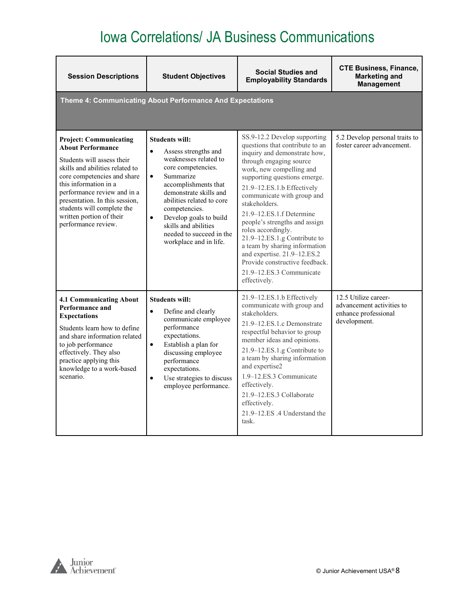| <b>Session Descriptions</b>                                                                                                                                                                                                                                                                                                          | <b>Student Objectives</b>                                                                                                                                                                                                                                                                                                                                | <b>Social Studies and</b><br><b>Employability Standards</b>                                                                                                                                                                                                                                                                                                                                                                                                                                                                          | <b>CTE Business, Finance,</b><br><b>Marketing and</b><br><b>Management</b>                |
|--------------------------------------------------------------------------------------------------------------------------------------------------------------------------------------------------------------------------------------------------------------------------------------------------------------------------------------|----------------------------------------------------------------------------------------------------------------------------------------------------------------------------------------------------------------------------------------------------------------------------------------------------------------------------------------------------------|--------------------------------------------------------------------------------------------------------------------------------------------------------------------------------------------------------------------------------------------------------------------------------------------------------------------------------------------------------------------------------------------------------------------------------------------------------------------------------------------------------------------------------------|-------------------------------------------------------------------------------------------|
|                                                                                                                                                                                                                                                                                                                                      | Theme 4: Communicating About Performance And Expectations                                                                                                                                                                                                                                                                                                |                                                                                                                                                                                                                                                                                                                                                                                                                                                                                                                                      |                                                                                           |
| <b>Project: Communicating</b><br><b>About Performance</b><br>Students will assess their<br>skills and abilities related to<br>core competencies and share<br>this information in a<br>performance review and in a<br>presentation. In this session,<br>students will complete the<br>written portion of their<br>performance review. | <b>Students will:</b><br>$\bullet$<br>Assess strengths and<br>weaknesses related to<br>core competencies.<br>$\bullet$<br>Summarize<br>accomplishments that<br>demonstrate skills and<br>abilities related to core<br>competencies.<br>$\bullet$<br>Develop goals to build<br>skills and abilities<br>needed to succeed in the<br>workplace and in life. | SS.9-12.2 Develop supporting<br>questions that contribute to an<br>inquiry and demonstrate how,<br>through engaging source<br>work, new compelling and<br>supporting questions emerge.<br>21.9-12.ES.1.b Effectively<br>communicate with group and<br>stakeholders.<br>21.9–12.ES.1.f Determine<br>people's strengths and assign<br>roles accordingly.<br>21.9-12.ES.1.g Contribute to<br>a team by sharing information<br>and expertise. 21.9-12.ES.2<br>Provide constructive feedback.<br>21.9–12.ES.3 Communicate<br>effectively. | 5.2 Develop personal traits to<br>foster career advancement.                              |
| <b>4.1 Communicating About</b><br><b>Performance and</b><br><b>Expectations</b><br>Students learn how to define<br>and share information related<br>to job performance<br>effectively. They also<br>practice applying this<br>knowledge to a work-based<br>scenario.                                                                 | <b>Students will:</b><br>$\bullet$<br>Define and clearly<br>communicate employee<br>performance<br>expectations.<br>$\bullet$<br>Establish a plan for<br>discussing employee<br>performance<br>expectations.<br>Use strategies to discuss<br>$\bullet$<br>employee performance.                                                                          | 21.9-12.ES.1.b Effectively<br>communicate with group and<br>stakeholders.<br>21.9–12.ES.1.c Demonstrate<br>respectful behavior to group<br>member ideas and opinions.<br>21.9–12.ES.1.g Contribute to<br>a team by sharing information<br>and expertise2<br>1.9–12.ES.3 Communicate<br>effectively.<br>21.9-12.ES.3 Collaborate<br>effectively.<br>21.9–12.ES .4 Understand the<br>task.                                                                                                                                             | 12.5 Utilize career-<br>advancement activities to<br>enhance professional<br>development. |

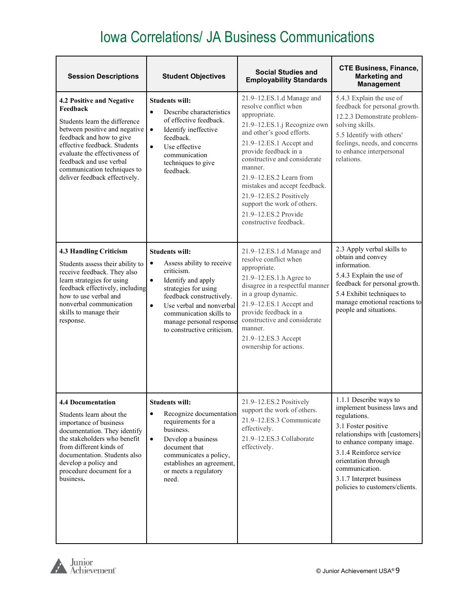| <b>Session Descriptions</b>                                                                                                                                                                                                                                                                     | <b>Student Objectives</b>                                                                                                                                                                                                                                                                          | <b>Social Studies and</b><br><b>Employability Standards</b>                                                                                                                                                                                                                                                                                                                                            | <b>CTE Business, Finance,</b><br><b>Marketing and</b><br><b>Management</b>                                                                                                                                                                                                                    |
|-------------------------------------------------------------------------------------------------------------------------------------------------------------------------------------------------------------------------------------------------------------------------------------------------|----------------------------------------------------------------------------------------------------------------------------------------------------------------------------------------------------------------------------------------------------------------------------------------------------|--------------------------------------------------------------------------------------------------------------------------------------------------------------------------------------------------------------------------------------------------------------------------------------------------------------------------------------------------------------------------------------------------------|-----------------------------------------------------------------------------------------------------------------------------------------------------------------------------------------------------------------------------------------------------------------------------------------------|
| 4.2 Positive and Negative<br>Feedback<br>Students learn the difference<br>between positive and negative<br>feedback and how to give<br>effective feedback. Students<br>evaluate the effectiveness of<br>feedback and use verbal<br>communication techniques to<br>deliver feedback effectively. | <b>Students will:</b><br>Describe characteristics<br>$\bullet$<br>of effective feedback.<br>Identify ineffective<br>$\bullet$<br>feedback.<br>$\bullet$<br>Use effective<br>communication<br>techniques to give<br>feedback.                                                                       | 21.9-12.ES.1.d Manage and<br>resolve conflict when<br>appropriate.<br>21.9-12.ES.1.j Recognize own<br>and other's good efforts.<br>21.9-12.ES.1 Accept and<br>provide feedback in a<br>constructive and considerate<br>manner.<br>21.9-12.ES.2 Learn from<br>mistakes and accept feedback.<br>21.9-12.ES.2 Positively<br>support the work of others.<br>21.9-12.ES.2 Provide<br>constructive feedback. | 5.4.3 Explain the use of<br>feedback for personal growth.<br>12.2.3 Demonstrate problem-<br>solving skills.<br>5.5 Identify with others'<br>feelings, needs, and concerns<br>to enhance interpersonal<br>relations.                                                                           |
| <b>4.3 Handling Criticism</b><br>Students assess their ability to<br>receive feedback. They also<br>learn strategies for using<br>feedback effectively, including<br>how to use verbal and<br>nonverbal communication<br>skills to manage their<br>response.                                    | <b>Students will:</b><br>Assess ability to receive<br>$\bullet$<br>criticism.<br>Identify and apply<br>$\bullet$<br>strategies for using<br>feedback constructively.<br>$\bullet$<br>Use verbal and nonverbal<br>communication skills to<br>manage personal response<br>to constructive criticism. | 21.9-12.ES.1.d Manage and<br>resolve conflict when<br>appropriate.<br>21.9-12.ES.1.h Agree to<br>disagree in a respectful manner<br>in a group dynamic.<br>21.9-12.ES.1 Accept and<br>provide feedback in a<br>constructive and considerate<br>manner.<br>21.9-12.ES.3 Accept<br>ownership for actions.                                                                                                | 2.3 Apply verbal skills to<br>obtain and convey<br>information.<br>5.4.3 Explain the use of<br>feedback for personal growth.<br>5.4 Exhibit techniques to<br>manage emotional reactions to<br>people and situations.                                                                          |
| <b>4.4 Documentation</b><br>Students learn about the<br>importance of business<br>documentation. They identify<br>the stakeholders who benefit<br>from different kinds of<br>documentation. Students also<br>develop a policy and<br>procedure document for a<br>business.                      | <b>Students will:</b><br>Recognize documentation<br>$\bullet$<br>requirements for a<br>business.<br>$\bullet$<br>Develop a business<br>document that<br>communicates a policy,<br>establishes an agreement,<br>or meets a regulatory<br>need.                                                      | 21.9-12.ES.2 Positively<br>support the work of others.<br>21.9-12.ES.3 Communicate<br>effectively.<br>21.9-12.ES.3 Collaborate<br>effectively.                                                                                                                                                                                                                                                         | 1.1.1 Describe ways to<br>implement business laws and<br>regulations.<br>3.1 Foster positive<br>relationships with [customers]<br>to enhance company image.<br>3.1.4 Reinforce service<br>orientation through<br>communication.<br>3.1.7 Interpret business<br>policies to customers/clients. |

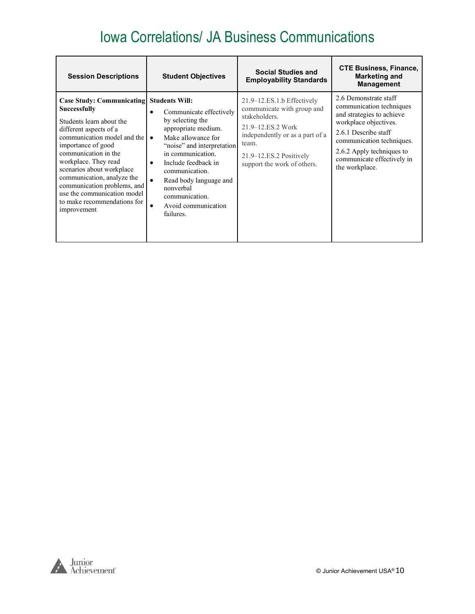| <b>Session Descriptions</b>                                                                                                                                                                                                                                                                                                                                                                       | <b>Student Objectives</b>                                                                                                                                                                                                                                                                                                                          | <b>Social Studies and</b><br><b>Employability Standards</b>                                                                                                                                              | <b>CTE Business, Finance,</b><br><b>Marketing and</b><br><b>Management</b>                                                                                                                                                                |
|---------------------------------------------------------------------------------------------------------------------------------------------------------------------------------------------------------------------------------------------------------------------------------------------------------------------------------------------------------------------------------------------------|----------------------------------------------------------------------------------------------------------------------------------------------------------------------------------------------------------------------------------------------------------------------------------------------------------------------------------------------------|----------------------------------------------------------------------------------------------------------------------------------------------------------------------------------------------------------|-------------------------------------------------------------------------------------------------------------------------------------------------------------------------------------------------------------------------------------------|
| <b>Case Study: Communicating Students Will:</b><br>Successfully<br>Students learn about the<br>different aspects of a<br>communication model and the<br>importance of good<br>communication in the<br>workplace. They read<br>scenarios about workplace<br>communication, analyze the<br>communication problems, and<br>use the communication model<br>to make recommendations for<br>improvement | Communicate effectively<br>$\bullet$<br>by selecting the<br>appropriate medium.<br>Make allowance for<br>$\bullet$<br>"noise" and interpretation<br>in communication.<br>Include feedback in<br>$\bullet$<br>communication.<br>Read body language and<br>$\bullet$<br>nonverbal<br>communication.<br>Avoid communication<br>$\bullet$<br>failures. | $21.9 - 12.ES.1.b$ Effectively<br>communicate with group and<br>stakeholders.<br>21.9–12.ES.2 Work<br>independently or as a part of a<br>team.<br>21.9–12.ES.2 Positively<br>support the work of others. | 2.6 Demonstrate staff<br>communication techniques<br>and strategies to achieve<br>workplace objectives.<br>2.6.1 Describe staff<br>communication techniques.<br>2.6.2 Apply techniques to<br>communicate effectively in<br>the workplace. |